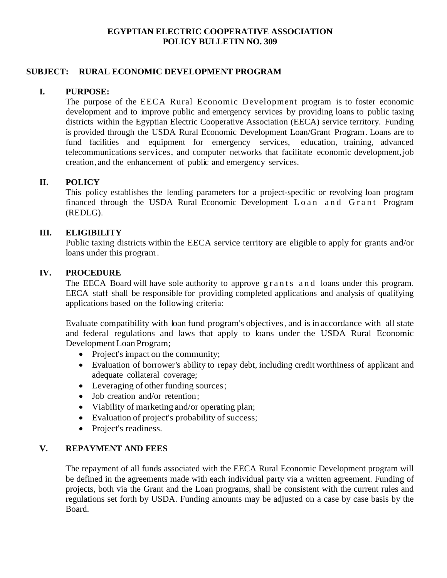## **EGYPTIAN ELECTRIC COOPERATIVE ASSOCIATION POLICY BULLETIN NO. 309**

# **SUBJECT: RURAL ECONOMIC DEVELOPMENT PROGRAM**

# **I. PURPOSE:**

The purpose of the EECA Rural Economic Development program is to foster economic development and to improve public and emergency services by providing loans to public taxing districts within the Egyptian Electric Cooperative Association (EECA) service territory. Funding is provided through the USDA Rural Economic Development Loan/Grant Program. Loans are to fund facilities and equipment for emergency services, education, training, advanced telecommunications services, and computer networks that facilitate economic development,job creation,and the enhancement of public and emergency services.

# **II. POLICY**

This policy establishes the lending parameters for a project-specific or revolving loan program financed through the USDA Rural Economic Development Loan and Grant Program (REDLG).

# **III. ELIGIBILITY**

Public taxing districts within the EECA service territory are eligible to apply for grants and/or loans under this program.

#### **IV. PROCEDURE**

The EECA Board will have sole authority to approve grants and loans under this program. EECA staff shall be responsible for providing completed applications and analysis of qualifying applications based on the following criteria:

Evaluate compatibility with loan fund program's objectives, and is in accordance with all state and federal regulations and laws that apply to loans under the USDA Rural Economic Development Loan Program;

- Project's impact on the community;
- Evaluation of borrower's ability to repay debt, including credit worthiness of applicant and adequate collateral coverage;
- Leveraging of other funding sources;
- Job creation and/or retention;
- Viability of marketing and/or operating plan;
- Evaluation of project's probability of success;
- Project's readiness.

#### **V. REPAYMENT AND FEES**

The repayment of all funds associated with the EECA Rural Economic Development program will be defined in the agreements made with each individual party via a written agreement. Funding of projects, both via the Grant and the Loan programs, shall be consistent with the current rules and regulations set forth by USDA. Funding amounts may be adjusted on a case by case basis by the Board.